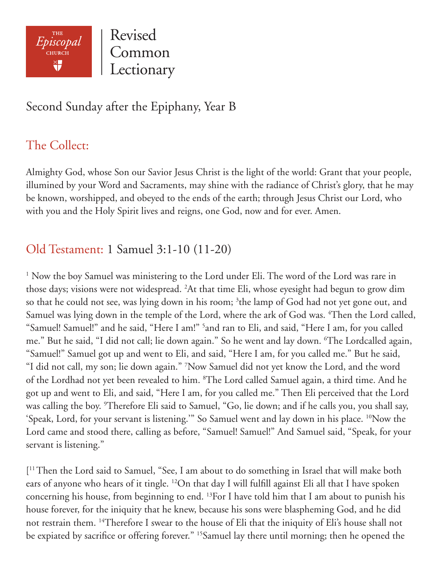

Revised Common Lectionary

## Second Sunday after the Epiphany, Year B

# The Collect:

Almighty God, whose Son our Savior Jesus Christ is the light of the world: Grant that your people, illumined by your Word and Sacraments, may shine with the radiance of Christ's glory, that he may be known, worshipped, and obeyed to the ends of the earth; through Jesus Christ our Lord, who with you and the Holy Spirit lives and reigns, one God, now and for ever. Amen.

## Old Testament: 1 Samuel 3:1-10 (11-20)

<sup>1</sup> Now the boy Samuel was ministering to the Lord under Eli. The word of the Lord was rare in those days; visions were not widespread. 2 At that time Eli, whose eyesight had begun to grow dim so that he could not see, was lying down in his room; <sup>3</sup>the lamp of God had not yet gone out, and Samuel was lying down in the temple of the Lord, where the ark of God was. <sup>4</sup>Then the Lord called, "Samuel! Samuel!" and he said, "Here I am!" 5 and ran to Eli, and said, "Here I am, for you called me." But he said, "I did not call; lie down again." So he went and lay down. 6 The Lordcalled again, "Samuel!" Samuel got up and went to Eli, and said, "Here I am, for you called me." But he said, "I did not call, my son; lie down again." 7 Now Samuel did not yet know the Lord, and the word of the Lordhad not yet been revealed to him. <sup>8</sup>The Lord called Samuel again, a third time. And he got up and went to Eli, and said, "Here I am, for you called me." Then Eli perceived that the Lord was calling the boy. 9 Therefore Eli said to Samuel, "Go, lie down; and if he calls you, you shall say, 'Speak, Lord, for your servant is listening.'" So Samuel went and lay down in his place. 10Now the Lord came and stood there, calling as before, "Samuel! Samuel!" And Samuel said, "Speak, for your servant is listening."

[ 11 Then the Lord said to Samuel, "See, I am about to do something in Israel that will make both ears of anyone who hears of it tingle. 12On that day I will fulfill against Eli all that I have spoken concerning his house, from beginning to end. 13For I have told him that I am about to punish his house forever, for the iniquity that he knew, because his sons were blaspheming God, and he did not restrain them. <sup>14</sup>Therefore I swear to the house of Eli that the iniquity of Eli's house shall not be expiated by sacrifice or offering forever." <sup>15</sup>Samuel lay there until morning; then he opened the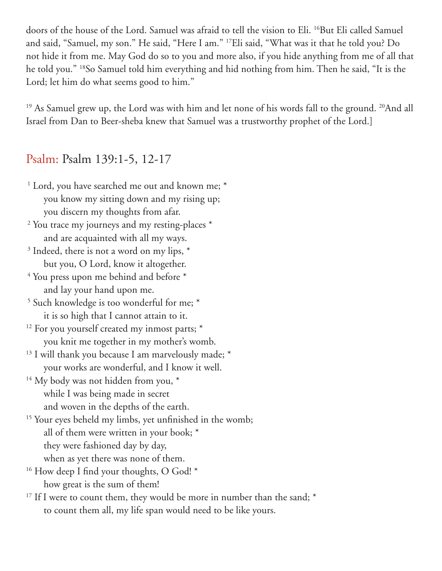doors of the house of the Lord. Samuel was afraid to tell the vision to Eli. <sup>16</sup>But Eli called Samuel and said, "Samuel, my son." He said, "Here I am." 17Eli said, "What was it that he told you? Do not hide it from me. May God do so to you and more also, if you hide anything from me of all that he told you." 18So Samuel told him everything and hid nothing from him. Then he said, "It is the Lord; let him do what seems good to him."

<sup>19</sup> As Samuel grew up, the Lord was with him and let none of his words fall to the ground. <sup>20</sup>And all Israel from Dan to Beer-sheba knew that Samuel was a trustworthy prophet of the Lord.]

#### Psalm: Psalm 139:1-5, 12-17

- <sup>1</sup> Lord, you have searched me out and known me; \* you know my sitting down and my rising up; you discern my thoughts from afar. <sup>2</sup> You trace my journeys and my resting-places \* and are acquainted with all my ways. <sup>3</sup> Indeed, there is not a word on my lips,  $*$  but you, O Lord, know it altogether.  $4$  You press upon me behind and before  $*$  and lay your hand upon me. <sup>5</sup> Such knowledge is too wonderful for me; \* it is so high that I cannot attain to it. <sup>12</sup> For you yourself created my inmost parts; \* you knit me together in my mother's womb. <sup>13</sup> I will thank you because I am marvelously made; \* your works are wonderful, and I know it well. <sup>14</sup> My body was not hidden from you, \* while I was being made in secret and woven in the depths of the earth. <sup>15</sup> Your eyes beheld my limbs, yet unfinished in the womb; all of them were written in your book; \* they were fashioned day by day, when as yet there was none of them.
- <sup>16</sup> How deep I find your thoughts, O God! \* how great is the sum of them!
- <sup>17</sup> If I were to count them, they would be more in number than the sand; \* to count them all, my life span would need to be like yours.